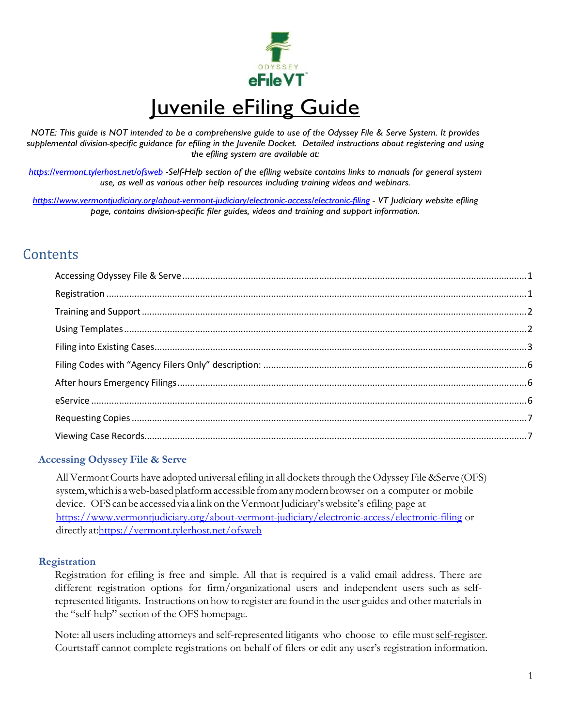**ODYSSEY** Juvenile eFiling Guide

*NOTE: This guide is NOT intended to be a comprehensive guide to use of the Odyssey File & Serve System. It provides supplemental division-specific guidance for efiling in the Juvenile Docket. Detailed instructions about registering and using the efiling system are available at:*

*<https://vermont.tylerhost.net/ofsweb> -Self-Help section of the efiling website contains links to manuals for general system use, as well as various other help resources including training videos and webinars.*

*<https://www.vermontjudiciary.org/about-vermont-judiciary/electronic-access/electronic-filing> - VT Judiciary website efiling page, contains division-specific filer guides, videos and training and support information.*

# **Contents**

## <span id="page-0-0"></span>**Accessing Odyssey File & Serve**

All Vermont Courts have adopted universal efiling in all dockets through the Odyssey File &Serve (OFS) system, which is a web-based platform accessible from any modern browser on a computer or mobile device. OFS canbe accessedvia a linkon theVermontJudiciary'swebsite's efiling page at <https://www.vermontjudiciary.org/about-vermont-judiciary/electronic-access/electronic-filing> or directly a[t:https://vermont.tylerhost.net/ofsweb](https://vermont.tylerhost.net/ofsweb)

#### <span id="page-0-1"></span>**Registration**

Registration for efiling is free and simple. All that is required is a valid email address. There are different registration options for firm/organizational users and independent users such as selfrepresented litigants. Instructions on howto register are found in the user guides and other materials in the "self-help" section of the OFS homepage.

Note: all users including attorneys and self-represented litigants who choose to efile must self-register. Courtstaff cannot complete registrations on behalf of filers or edit any user's registration information.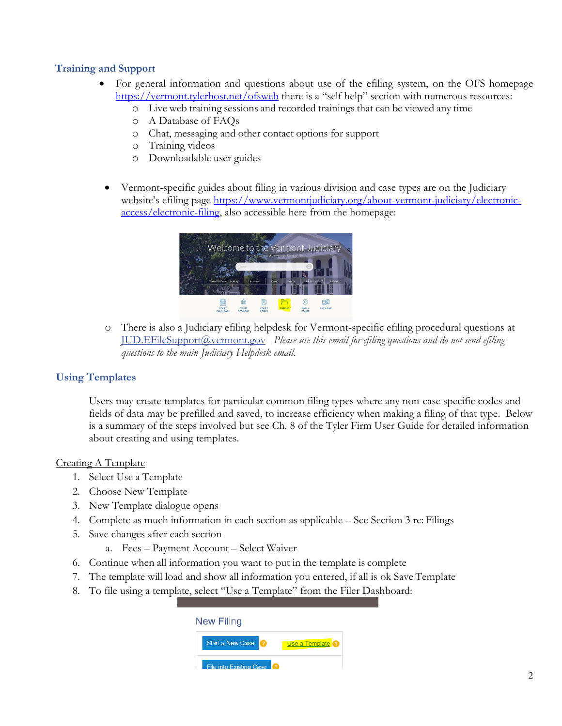## <span id="page-1-0"></span>**Training and Support**

- For general information and questions about use of the efiling system, on the OFS homepage <https://vermont.tylerhost.net/ofsweb> there is a "self help" section with numerous resources:
	- o Live web training sessions and recorded trainings that can be viewed any time
	- o A Database of FAQs
	- o Chat, messaging and other contact options for support
	- o Training videos
	- o Downloadable user guides
	- Vermont-specific guides about filing in various division and case types are on the Judiciary website's efiling page [https://www.vermontjudiciary.org/about-vermont-judiciary/electronic](https://www.vermontjudiciary.org/about-vermont-judiciary/electronic-access/electronic-filing)[access/electronic-filing,](https://www.vermontjudiciary.org/about-vermont-judiciary/electronic-access/electronic-filing) also accessible here from the homepage:



o There is also a Judiciary efiling helpdesk for Vermont-specific efiling procedural questions at [JUD.EFileSupport@vermont.gov](mailto:JUD.EFileSupport@vermont.gov) *Please use this email for efiling questions and do not send efiling questions to the main Judiciary Helpdesk email.* 

#### <span id="page-1-1"></span>**Using Templates**

Users may create templates for particular common filing types where any non-case specific codes and fields of data may be prefilled and saved, to increase efficiency when making a filing of that type. Below is a summary of the steps involved but see Ch. 8 of the Tyler Firm User Guide for detailed information about creating and using templates.

#### Creating A Template

- 1. Select Use a Template
- 2. Choose New Template
- 3. New Template dialogue opens
- 4. Complete as much information in each section as applicable See Section 3 re: Filings
- 5. Save changes after each section
	- a. Fees Payment Account Select Waiver
- 6. Continue when all information you want to put in the template is complete
- 7. The template will load and show all information you entered, if all is ok Save Template
- 8. To file using a template, select "Use a Template" from the Filer Dashboard:

| <b>New Filing</b>                   |                  |  |
|-------------------------------------|------------------|--|
| <b>Start a New Case</b><br>a        | Use a Template ? |  |
| File into Existing Case<br><b>P</b> |                  |  |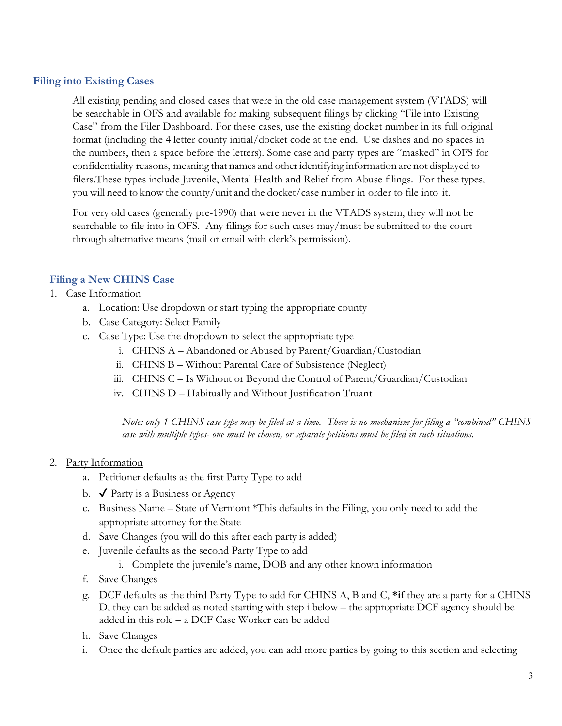### <span id="page-2-0"></span>**Filing into Existing Cases**

All existing pending and closed cases that were in the old case management system (VTADS) will be searchable in OFS and available for making subsequent filings by clicking "File into Existing Case" from the Filer Dashboard. For these cases, use the existing docket number in its full original format (including the 4 letter county initial/docket code at the end. Use dashes and no spaces in the numbers, then a space before the letters). Some case and party types are "masked" in OFS for confidentiality reasons, meaning that names and other identifying information are not displayed to filers.These types include Juvenile, Mental Health and Relief from Abuse filings. For these types, you will need to know the county/unit and the docket/case number in order to file into it.

For very old cases (generally pre-1990) that were never in the VTADS system, they will not be searchable to file into in OFS. Any filings for such cases may/must be submitted to the court through alternative means (mail or email with clerk's permission).

## **Filing a New CHINS Case**

- 1. Case Information
	- a. Location: Use dropdown or start typing the appropriate county
	- b. Case Category: Select Family
	- c. Case Type: Use the dropdown to select the appropriate type
		- i. CHINS A Abandoned or Abused by Parent/Guardian/Custodian
		- ii. CHINS B Without Parental Care of Subsistence (Neglect)
		- iii. CHINS C Is Without or Beyond the Control of Parent/Guardian/Custodian
		- iv. CHINS D Habitually and Without Justification Truant

*Note: only 1 CHINS case type may be filed at a time. There is no mechanism for filing a "combined" CHINS case with multiple types- one must be chosen, or separate petitions must be filed in such situations.* 

- 2. Party Information
	- a. Petitioner defaults as the first Party Type to add
	- b.  $\sqrt{\phantom{a}}$  Party is a Business or Agency
	- c. Business Name State of Vermont \*This defaults in the Filing, you only need to add the appropriate attorney for the State
	- d. Save Changes (you will do this after each party is added)
	- e. Juvenile defaults as the second Party Type to add
		- i. Complete the juvenile's name, DOB and any other known information
	- f. Save Changes
	- g. DCF defaults as the third Party Type to add for CHINS A, B and C, **\*if** they are a party for a CHINS D, they can be added as noted starting with step i below – the appropriate DCF agency should be added in this role – a DCF Case Worker can be added
	- h. Save Changes
	- i. Once the default parties are added, you can add more parties by going to this section and selecting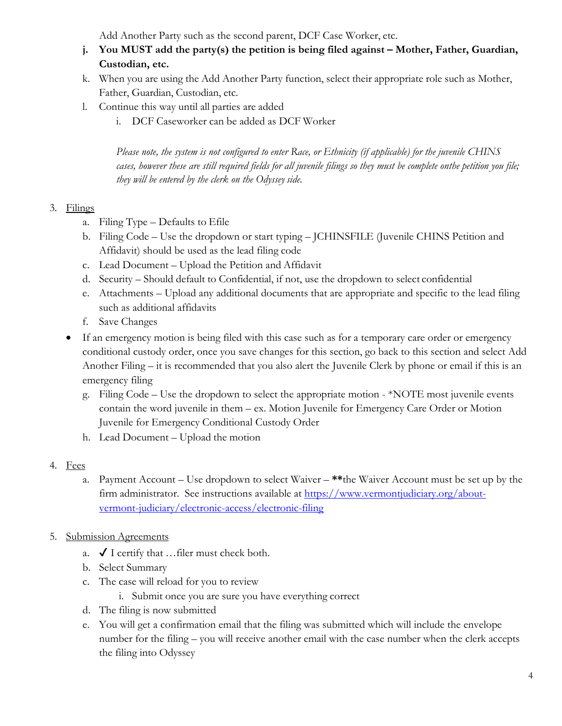Add Another Party such as the second parent, DCF Case Worker, etc.

- **j. You MUST add the party(s) the petition is being filed against – Mother, Father, Guardian, Custodian, etc.**
- k. When you are using the Add Another Party function, select their appropriate role such as Mother, Father, Guardian, Custodian, etc.
- l. Continue this way until all parties are added
	- i. DCF Caseworker can be added as DCF Worker

*Please note, the system is not configured to enter Race, or Ethnicity (if applicable) for the juvenile CHINS cases, however these are still required fields for all juvenile filings so they must be complete onthe petition you file; they will be entered by the clerk on the Odyssey side.*

## 3. Filings

- a. Filing Type Defaults to Efile
- b. Filing Code Use the dropdown or start typing JCHINSFILE (Juvenile CHINS Petition and Affidavit) should be used as the lead filing code
- c. Lead Document Upload the Petition and Affidavit
- d. Security Should default to Confidential, if not, use the dropdown to select confidential
- e. Attachments Upload any additional documents that are appropriate and specific to the lead filing such as additional affidavits
- f. Save Changes
- If an emergency motion is being filed with this case such as for a temporary care order or emergency conditional custody order, once you save changes for this section, go back to this section and select Add Another Filing – it is recommended that you also alert the Juvenile Clerk by phone or email if this is an emergency filing
	- g. Filing Code Use the dropdown to select the appropriate motion \*NOTE most juvenile events contain the word juvenile in them – ex. Motion Juvenile for Emergency Care Order or Motion Juvenile for Emergency Conditional Custody Order
	- h. Lead Document Upload the motion
- 4. Fees
	- a. Payment Account Use dropdown to select Waiver **\*\***the Waiver Account must be set up by the firm administrator. See instructions available at [https://www.vermontjudiciary.org/about](https://www.vermontjudiciary.org/about-vermont-judiciary/electronic-access/electronic-filing)[vermont-judiciary/electronic-access/electronic-filing](https://www.vermontjudiciary.org/about-vermont-judiciary/electronic-access/electronic-filing)
- 5. Submission Agreements
	- a.  $\checkmark$  I certify that ... filer must check both.
	- b. Select Summary
	- c. The case will reload for you to review
		- i. Submit once you are sure you have everything correct
	- d. The filing is now submitted
	- e. You will get a confirmation email that the filing was submitted which will include the envelope number for the filing – you will receive another email with the case number when the clerk accepts the filing into Odyssey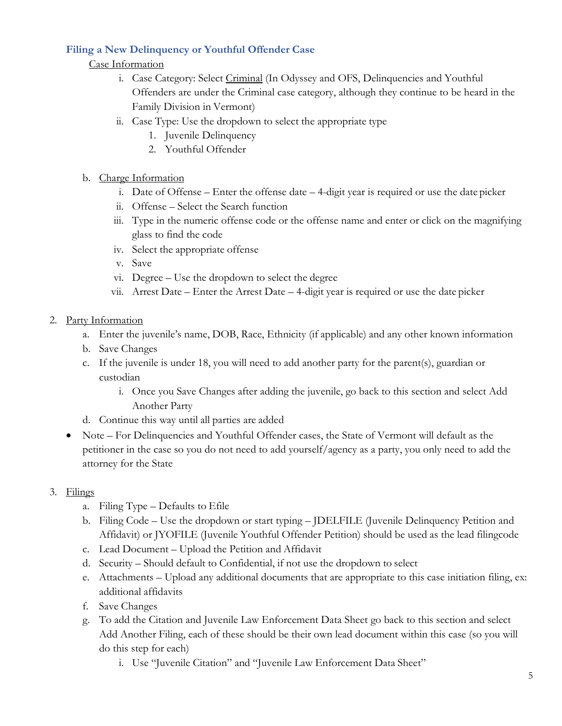## **Filing a New Delinquency or Youthful Offender Case**

Case Information

- i. Case Category: Select Criminal (In Odyssey and OFS, Delinquencies and Youthful Offenders are under the Criminal case category, although they continue to be heard in the Family Division in Vermont)
- ii. Case Type: Use the dropdown to select the appropriate type
	- 1. Juvenile Delinquency
	- 2. Youthful Offender
- b. Charge Information
	- i. Date of Offense Enter the offense date 4-digit year is required or use the date picker
	- ii. Offense Select the Search function
	- iii. Type in the numeric offense code or the offense name and enter or click on the magnifying glass to find the code
	- iv. Select the appropriate offense
	- v. Save
	- vi. Degree Use the dropdown to select the degree
	- vii. Arrest Date Enter the Arrest Date 4-digit year is required or use the date picker
- 2. Party Information
	- a. Enter the juvenile's name, DOB, Race, Ethnicity (if applicable) and any other known information
	- b. Save Changes
	- c. If the juvenile is under 18, you will need to add another party for the parent(s), guardian or custodian
		- i. Once you Save Changes after adding the juvenile, go back to this section and select Add Another Party
	- d. Continue this way until all parties are added
	- Note For Delinquencies and Youthful Offender cases, the State of Vermont will default as the petitioner in the case so you do not need to add yourself/agency as a party, you only need to add the attorney for the State

# 3. Filings

- a. Filing Type Defaults to Efile
- b. Filing Code Use the dropdown or start typing JDELFILE (Juvenile Delinquency Petition and Affidavit) or JYOFILE (Juvenile Youthful Offender Petition) should be used as the lead filingcode
- c. Lead Document Upload the Petition and Affidavit
- d. Security Should default to Confidential, if not use the dropdown to select
- e. Attachments Upload any additional documents that are appropriate to this case initiation filing, ex: additional affidavits
- f. Save Changes
- g. To add the Citation and Juvenile Law Enforcement Data Sheet go back to this section and select Add Another Filing, each of these should be their own lead document within this case (so you will do this step for each)
	- i. Use "Juvenile Citation" and "Juvenile Law Enforcement Data Sheet"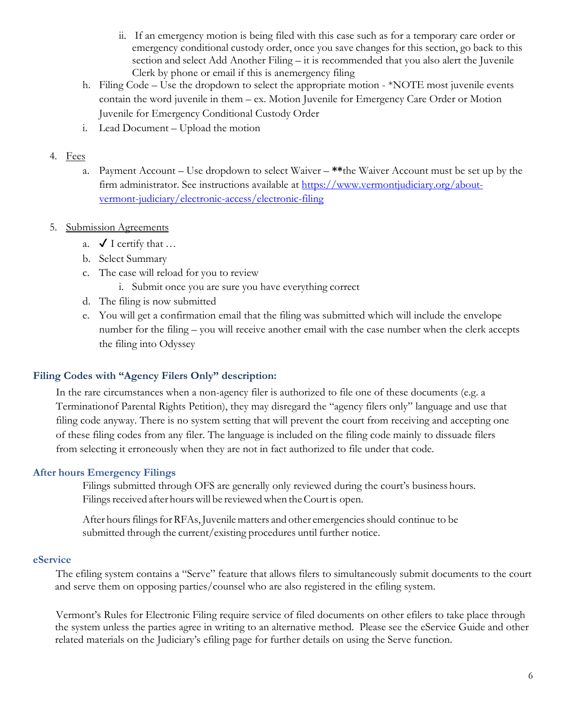- ii. If an emergency motion is being filed with this case such as for a temporary care order or emergency conditional custody order, once you save changes for this section, go back to this section and select Add Another Filing – it is recommended that you also alert the Juvenile Clerk by phone or email if this is anemergency filing
- h. Filing Code Use the dropdown to select the appropriate motion \*NOTE most juvenile events contain the word juvenile in them – ex. Motion Juvenile for Emergency Care Order or Motion Juvenile for Emergency Conditional Custody Order
- i. Lead Document Upload the motion

### 4. Fees

a. Payment Account – Use dropdown to select Waiver – **\*\***the Waiver Account must be set up by the firm administrator. See instructions available at [https://www.vermontjudiciary.org/about](https://www.vermontjudiciary.org/about-vermont-judiciary/electronic-access/electronic-filing)[vermont-judiciary/electronic-access/electronic-filing](https://www.vermontjudiciary.org/about-vermont-judiciary/electronic-access/electronic-filing)

## 5. Submission Agreements

- a.  $\bigvee$  I certify that ...
- b. Select Summary
- c. The case will reload for you to review
	- i. Submit once you are sure you have everything correct
- d. The filing is now submitted
- e. You will get a confirmation email that the filing was submitted which will include the envelope number for the filing – you will receive another email with the case number when the clerk accepts the filing into Odyssey

## <span id="page-5-0"></span>**Filing Codes with "Agency Filers Only" description:**

In the rare circumstances when a non-agency filer is authorized to file one of these documents (e.g. a Terminationof Parental Rights Petition), they may disregard the "agency filers only" language and use that filing code anyway. There is no system setting that will prevent the court from receiving and accepting one of these filing codes from any filer. The language is included on the filing code mainly to dissuade filers from selecting it erroneously when they are not in fact authorized to file under that code.

#### <span id="page-5-1"></span>**After hours Emergency Filings**

Filings submitted through OFS are generally only reviewed during the court's business hours. Filings received after hours will be reviewed when the Court is open.

After hours filings for RFAs, Juvenile matters and other emergencies should continue to be submitted through the current/existing procedures until further notice.

#### <span id="page-5-2"></span>**eService**

The efiling system contains a "Serve" feature that allows filers to simultaneously submit documents to the court and serve them on opposing parties/counsel who are also registered in the efiling system.

Vermont's Rules for Electronic Filing require service of filed documents on other efilers to take place through the system unless the parties agree in writing to an alternative method. Please see the eService Guide and other related materials on the Judiciary's efiling page for further details on using the Serve function.